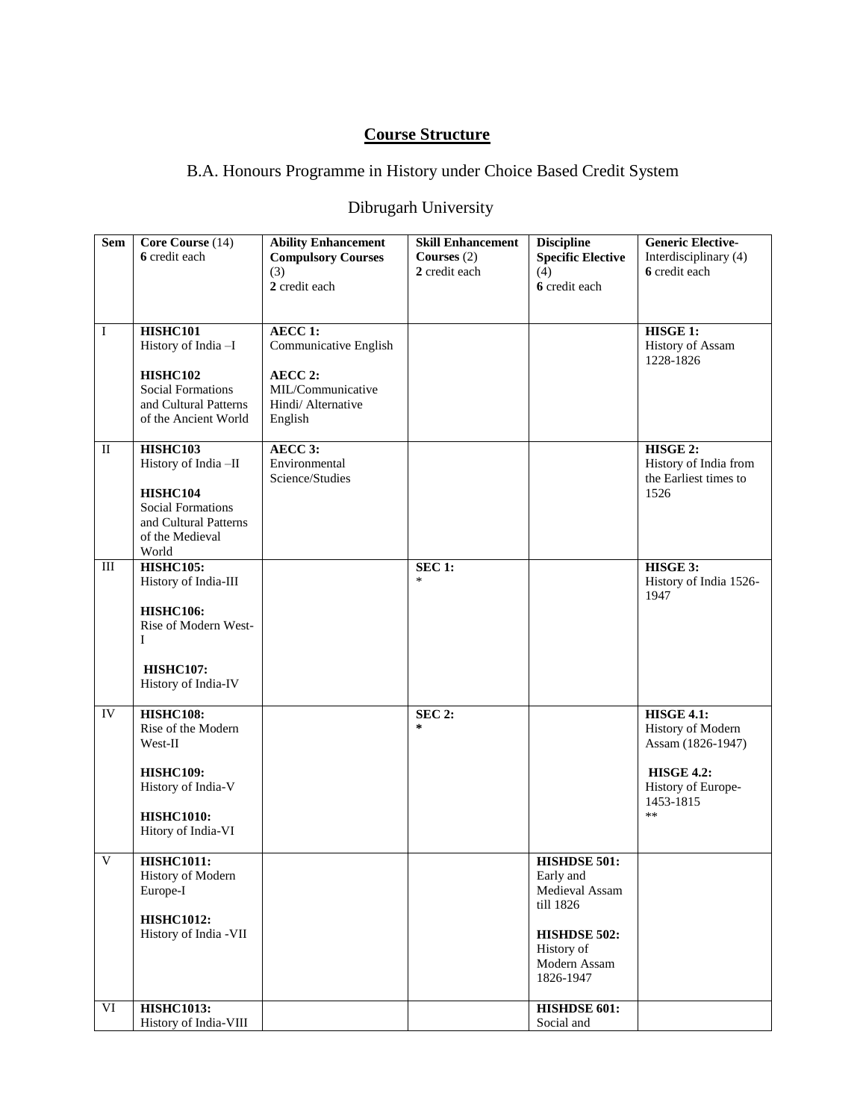# **Course Structure**

# B.A. Honours Programme in History under Choice Based Credit System

# Dibrugarh University

| <b>Sem</b>   | Core Course (14)                                  | <b>Ability Enhancement</b> | <b>Skill Enhancement</b> | <b>Discipline</b>          | <b>Generic Elective-</b> |
|--------------|---------------------------------------------------|----------------------------|--------------------------|----------------------------|--------------------------|
|              | 6 credit each                                     | <b>Compulsory Courses</b>  | Courses $(2)$            | <b>Specific Elective</b>   | Interdisciplinary (4)    |
|              |                                                   | (3)                        | 2 credit each            | (4)                        | 6 credit each            |
|              |                                                   | 2 credit each              |                          | 6 credit each              |                          |
|              |                                                   |                            |                          |                            |                          |
| $\bf I$      | HISHC101                                          | <b>AECC 1:</b>             |                          |                            | HISGE 1:                 |
|              | History of India -I                               | Communicative English      |                          |                            | <b>History of Assam</b>  |
|              |                                                   |                            |                          |                            | 1228-1826                |
|              | HISHC102                                          | AECC 2:                    |                          |                            |                          |
|              | <b>Social Formations</b>                          | MIL/Communicative          |                          |                            |                          |
|              | and Cultural Patterns<br>of the Ancient World     | Hindi/ Alternative         |                          |                            |                          |
|              |                                                   | English                    |                          |                            |                          |
| $\mathbf{I}$ | HISHC103                                          | AECC 3:                    |                          |                            | HISGE 2:                 |
|              | History of India-II                               | Environmental              |                          |                            | History of India from    |
|              |                                                   | Science/Studies            |                          |                            | the Earliest times to    |
|              | HISHC104                                          |                            |                          |                            | 1526                     |
|              | <b>Social Formations</b><br>and Cultural Patterns |                            |                          |                            |                          |
|              | of the Medieval                                   |                            |                          |                            |                          |
|              | World                                             |                            |                          |                            |                          |
| Ш            | <b>HISHC105:</b>                                  |                            | <b>SEC 1:</b>            |                            | HISGE 3:                 |
|              | History of India-III                              |                            | $\ast$                   |                            | History of India 1526-   |
|              |                                                   |                            |                          |                            | 1947                     |
|              | <b>HISHC106:</b><br>Rise of Modern West-          |                            |                          |                            |                          |
|              | Ι                                                 |                            |                          |                            |                          |
|              |                                                   |                            |                          |                            |                          |
|              | <b>HISHC107:</b>                                  |                            |                          |                            |                          |
|              | History of India-IV                               |                            |                          |                            |                          |
| IV           | <b>HISHC108:</b>                                  |                            | <b>SEC 2:</b>            |                            | <b>HISGE 4.1:</b>        |
|              | Rise of the Modern                                |                            | *                        |                            | History of Modern        |
|              | West-II                                           |                            |                          |                            | Assam (1826-1947)        |
|              |                                                   |                            |                          |                            |                          |
|              | <b>HISHC109:</b>                                  |                            |                          |                            | <b>HISGE 4.2:</b>        |
|              | History of India-V                                |                            |                          |                            | History of Europe-       |
|              | <b>HISHC1010:</b>                                 |                            |                          |                            | 1453-1815<br>$**$        |
|              | Hitory of India-VI                                |                            |                          |                            |                          |
|              |                                                   |                            |                          |                            |                          |
| V            | <b>HISHC1011:</b>                                 |                            |                          | <b>HISHDSE 501:</b>        |                          |
|              | History of Modern                                 |                            |                          | Early and                  |                          |
|              | Europe-I                                          |                            |                          | Medieval Assam             |                          |
|              | <b>HISHC1012:</b>                                 |                            |                          | till 1826                  |                          |
|              | History of India -VII                             |                            |                          | HISHDSE 502:               |                          |
|              |                                                   |                            |                          | History of                 |                          |
|              |                                                   |                            |                          | Modern Assam               |                          |
|              |                                                   |                            |                          | 1826-1947                  |                          |
|              |                                                   |                            |                          |                            |                          |
| VI           | <b>HISHC1013:</b><br>History of India-VIII        |                            |                          | HISHDSE 601:<br>Social and |                          |
|              |                                                   |                            |                          |                            |                          |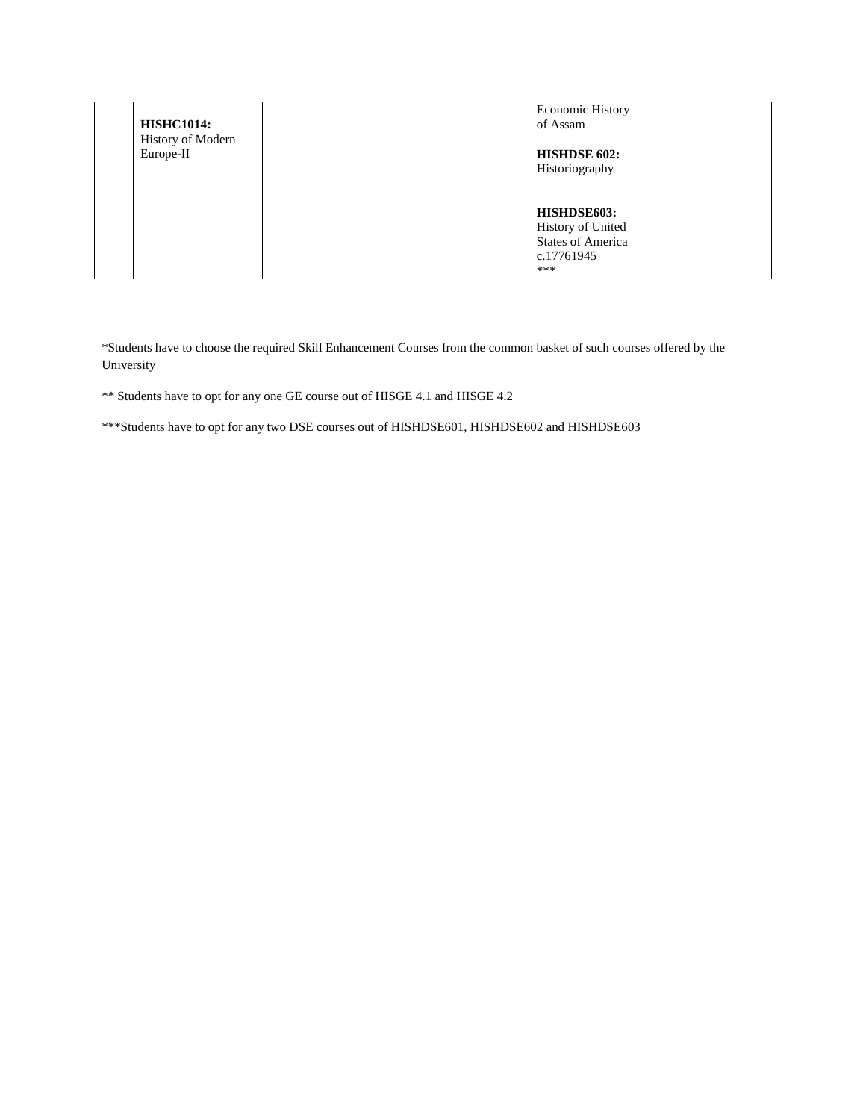| <b>HISHC1014:</b>              | <b>Economic History</b><br>of Assam                                               |
|--------------------------------|-----------------------------------------------------------------------------------|
| History of Modern<br>Europe-II | <b>HISHDSE 602:</b><br>Historiography                                             |
|                                | HISHDSE603:<br>History of United<br><b>States of America</b><br>c.17761945<br>*** |

\*Students have to choose the required Skill Enhancement Courses from the common basket of such courses offered by the University

\*\* Students have to opt for any one GE course out of HISGE 4.1 and HISGE 4.2

\*\*\*Students have to opt for any two DSE courses out of HISHDSE601, HISHDSE602 and HISHDSE603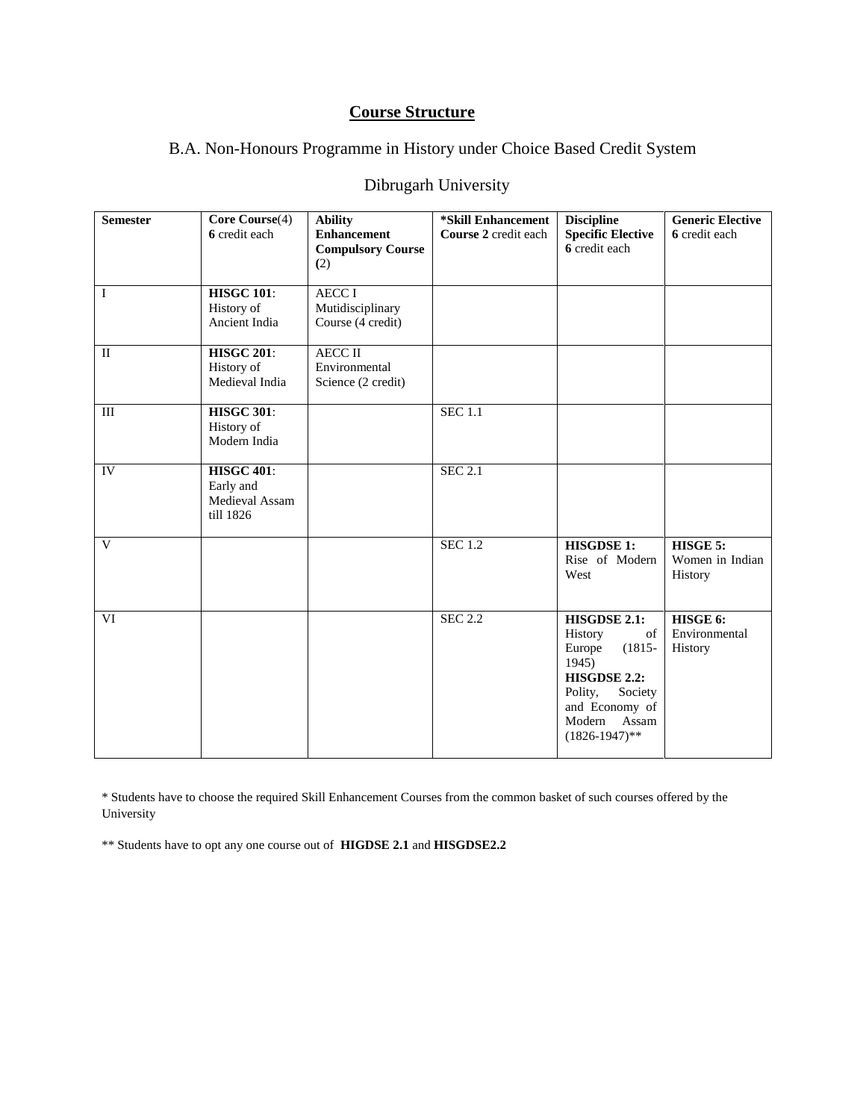# **Course Structure**

## B.A. Non-Honours Programme in History under Choice Based Credit System

# Dibrugarh University

| <b>Semester</b> | Core Course(4)<br>6 credit each                               | <b>Ability</b><br><b>Enhancement</b><br><b>Compulsory Course</b><br>(2) | *Skill Enhancement<br>Course 2 credit each | <b>Discipline</b><br><b>Specific Elective</b><br>6 credit each                                                                                               | <b>Generic Elective</b><br>6 credit each |
|-----------------|---------------------------------------------------------------|-------------------------------------------------------------------------|--------------------------------------------|--------------------------------------------------------------------------------------------------------------------------------------------------------------|------------------------------------------|
| $\mathbf{I}$    | <b>HISGC 101:</b><br>History of<br>Ancient India              | <b>AECC I</b><br>Mutidisciplinary<br>Course (4 credit)                  |                                            |                                                                                                                                                              |                                          |
| $\mathbf{I}$    | <b>HISGC 201:</b><br>History of<br>Medieval India             | <b>AECC II</b><br>Environmental<br>Science (2 credit)                   |                                            |                                                                                                                                                              |                                          |
| $\rm III$       | <b>HISGC 301:</b><br>History of<br>Modern India               |                                                                         | <b>SEC 1.1</b>                             |                                                                                                                                                              |                                          |
| IV              | <b>HISGC 401:</b><br>Early and<br>Medieval Assam<br>till 1826 |                                                                         | <b>SEC 2.1</b>                             |                                                                                                                                                              |                                          |
| V               |                                                               |                                                                         | <b>SEC 1.2</b>                             | <b>HISGDSE 1:</b><br>Rise of Modern<br>West                                                                                                                  | HISGE 5:<br>Women in Indian<br>History   |
| VI              |                                                               |                                                                         | <b>SEC 2.2</b>                             | HISGDSE 2.1:<br>History<br>of<br>$(1815 -$<br>Europe<br>1945)<br>HISGDSE 2.2:<br>Polity,<br>Society<br>and Economy of<br>Assam<br>Modern<br>$(1826-1947)$ ** | HISGE 6:<br>Environmental<br>History     |

\* Students have to choose the required Skill Enhancement Courses from the common basket of such courses offered by the University

\*\* Students have to opt any one course out of **HIGDSE 2.1** and **HISGDSE2.2**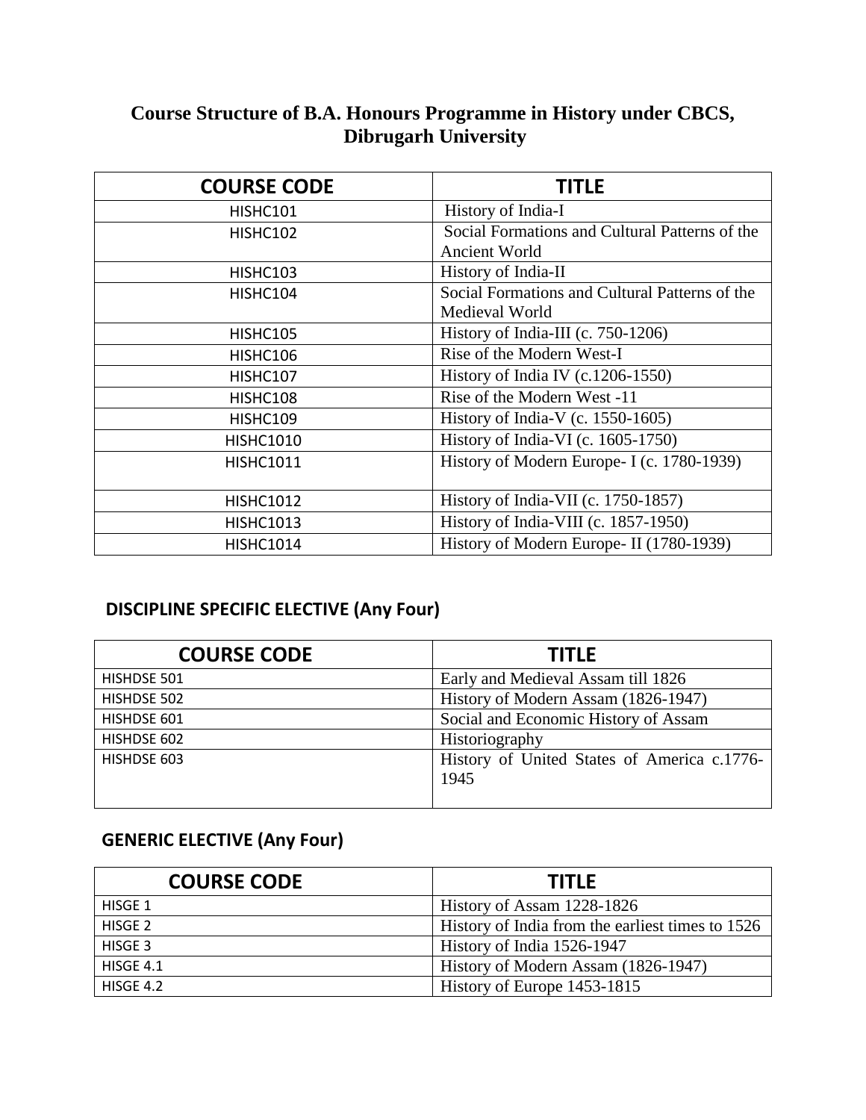# **Course Structure of B.A. Honours Programme in History under CBCS, Dibrugarh University**

| <b>COURSE CODE</b> | <b>TITLE</b>                                                           |
|--------------------|------------------------------------------------------------------------|
| HISHC101           | History of India-I                                                     |
| HISHC102           | Social Formations and Cultural Patterns of the<br><b>Ancient World</b> |
| HISHC103           | History of India-II                                                    |
| HISHC104           | Social Formations and Cultural Patterns of the<br>Medieval World       |
| HISHC105           | History of India-III (c. 750-1206)                                     |
| HISHC106           | Rise of the Modern West-I                                              |
| HISHC107           | History of India IV (c.1206-1550)                                      |
| HISHC108           | Rise of the Modern West -11                                            |
| HISHC109           | History of India-V (c. $1550-1605$ )                                   |
| <b>HISHC1010</b>   | History of India-VI (c. $1605-1750$ )                                  |
| <b>HISHC1011</b>   | History of Modern Europe- I (c. 1780-1939)                             |
| <b>HISHC1012</b>   | History of India-VII (c. 1750-1857)                                    |
| <b>HISHC1013</b>   | History of India-VIII (c. 1857-1950)                                   |
| <b>HISHC1014</b>   | History of Modern Europe- II (1780-1939)                               |

# **DISCIPLINE SPECIFIC ELECTIVE (Any Four)**

| <b>COURSE CODE</b> | <b>TITLE</b>                                        |
|--------------------|-----------------------------------------------------|
| HISHDSE 501        | Early and Medieval Assam till 1826                  |
| HISHDSE 502        | History of Modern Assam (1826-1947)                 |
| HISHDSE 601        | Social and Economic History of Assam                |
| HISHDSE 602        | Historiography                                      |
| HISHDSE 603        | History of United States of America c.1776-<br>1945 |
|                    |                                                     |

# **GENERIC ELECTIVE (Any Four)**

| <b>COURSE CODE</b> | <b>TITLE</b>                                     |
|--------------------|--------------------------------------------------|
| HISGE 1            | History of Assam 1228-1826                       |
| HISGE 2            | History of India from the earliest times to 1526 |
| HISGE 3            | History of India 1526-1947                       |
| HISGE 4.1          | History of Modern Assam (1826-1947)              |
| HISGE 4.2          | History of Europe 1453-1815                      |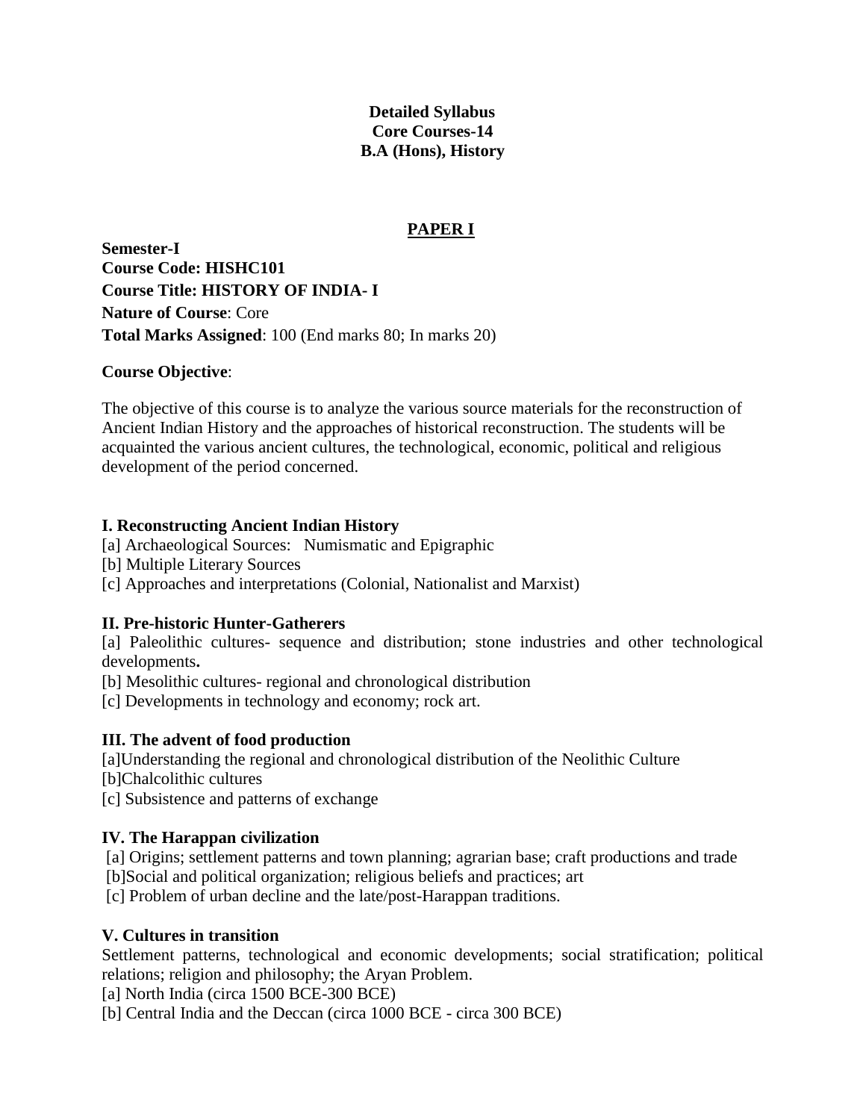# **Detailed Syllabus Core Courses-14 B.A (Hons), History**

# **PAPER I**

**Semester-I Course Code: HISHC101 Course Title: HISTORY OF INDIA- I Nature of Course**: Core **Total Marks Assigned**: 100 (End marks 80; In marks 20)

## **Course Objective**:

The objective of this course is to analyze the various source materials for the reconstruction of Ancient Indian History and the approaches of historical reconstruction. The students will be acquainted the various ancient cultures, the technological, economic, political and religious development of the period concerned.

# **I. Reconstructing Ancient Indian History**

[a] Archaeological Sources: Numismatic and Epigraphic

- [b] Multiple Literary Sources
- [c] Approaches and interpretations (Colonial, Nationalist and Marxist)

# **II. Pre-historic Hunter-Gatherers**

[a] Paleolithic cultures- sequence and distribution; stone industries and other technological developments**.**

- [b] Mesolithic cultures- regional and chronological distribution
- [c] Developments in technology and economy; rock art.

# **III. The advent of food production**

[a]Understanding the regional and chronological distribution of the Neolithic Culture

- [b]Chalcolithic cultures
- [c] Subsistence and patterns of exchange

# **IV. The Harappan civilization**

[a] Origins; settlement patterns and town planning; agrarian base; craft productions and trade

[b]Social and political organization; religious beliefs and practices; art

[c] Problem of urban decline and the late/post-Harappan traditions.

# **V. Cultures in transition**

Settlement patterns, technological and economic developments; social stratification; political relations; religion and philosophy; the Aryan Problem.

[a] North India (circa 1500 BCE-300 BCE)

[b] Central India and the Deccan (circa 1000 BCE - circa 300 BCE)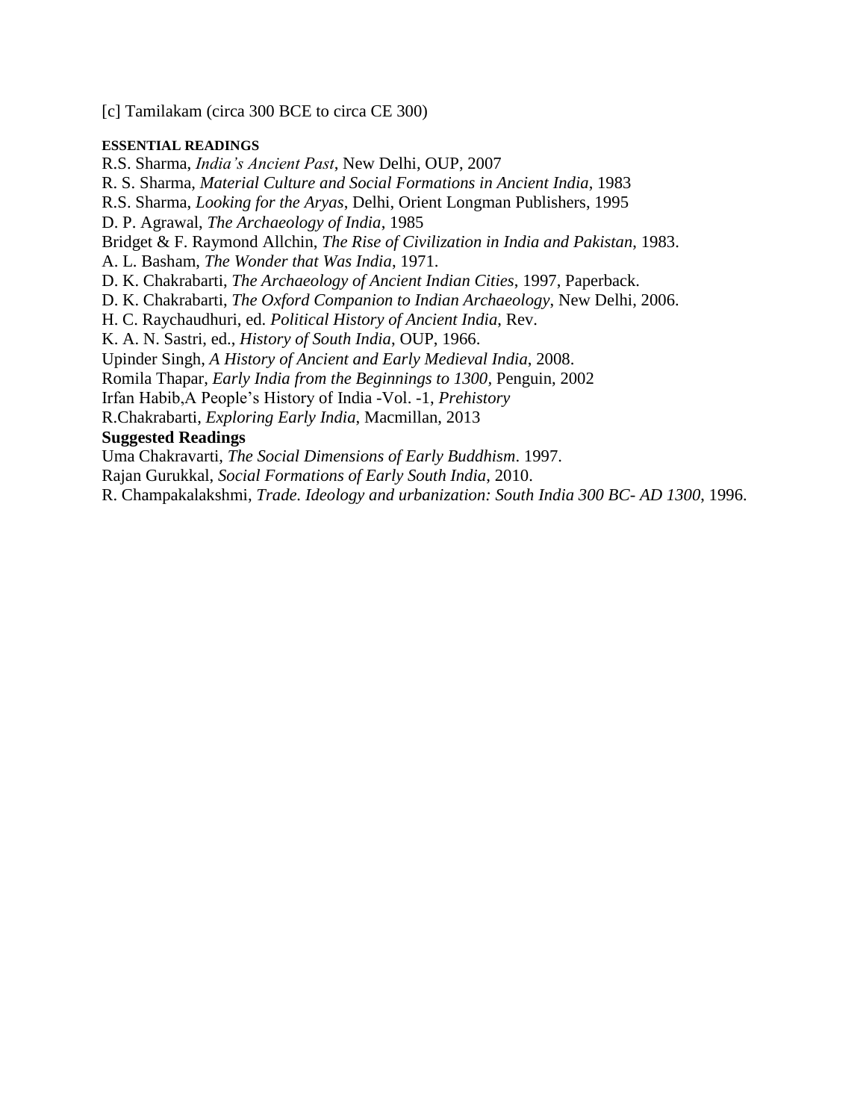[c] Tamilakam (circa 300 BCE to circa CE 300)

### **ESSENTIAL READINGS**

R.S. Sharma, *India's Ancient Past*, New Delhi, OUP, 2007 R. S. Sharma, *Material Culture and Social Formations in Ancient India*, 1983 R.S. Sharma, *Looking for the Aryas*, Delhi, Orient Longman Publishers, 1995 D. P. Agrawal, *The Archaeology of India*, 1985 Bridget & F. Raymond Allchin, *The Rise of Civilization in India and Pakistan*, 1983. A. L. Basham, *The Wonder that Was India*, 1971. D. K. Chakrabarti, *The Archaeology of Ancient Indian Cities*, 1997, Paperback. D. K. Chakrabarti, *The Oxford Companion to Indian Archaeology*, New Delhi, 2006. H. C. Raychaudhuri, ed. *Political History of Ancient India*, Rev. K. A. N. Sastri, ed., *History of South India*, OUP, 1966. Upinder Singh, *A History of Ancient and Early Medieval India*, 2008. Romila Thapar, *Early India from the Beginnings to 1300,* Penguin, 2002 Irfan Habib,A People's History of India -Vol. -1, *Prehistory* R.Chakrabarti, *Exploring Early India*, Macmillan, 2013 **Suggested Readings** Uma Chakravarti, *The Social Dimensions of Early Buddhism*. 1997.

Rajan Gurukkal, *Social Formations of Early South India*, 2010.

R. Champakalakshmi, *Trade. Ideology and urbanization: South India 300 BC- AD 1300*, 1996.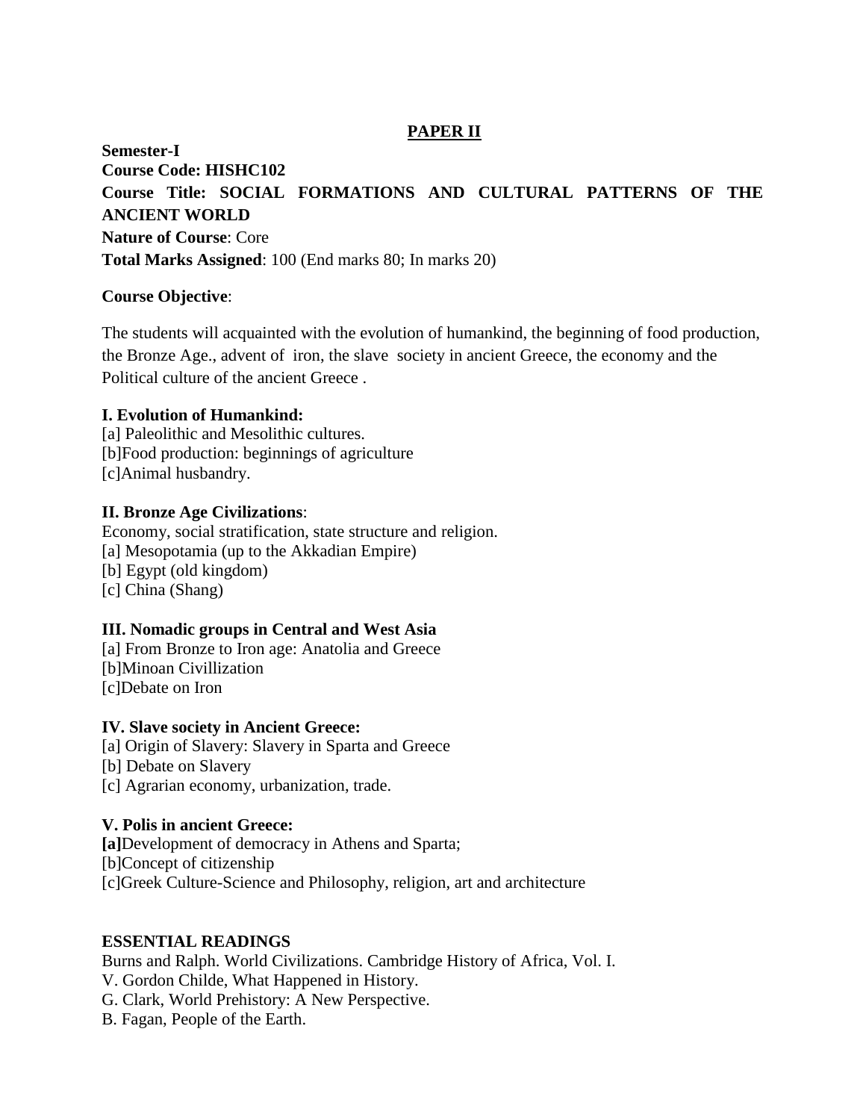# **PAPER II**

**Semester-I Course Code: HISHC102 Course Title: SOCIAL FORMATIONS AND CULTURAL PATTERNS OF THE ANCIENT WORLD Nature of Course**: Core **Total Marks Assigned**: 100 (End marks 80; In marks 20)

## **Course Objective**:

The students will acquainted with the evolution of humankind, the beginning of food production, the Bronze Age., advent of iron, the slave society in ancient Greece, the economy and the Political culture of the ancient Greece .

## **I. Evolution of Humankind:**

[a] Paleolithic and Mesolithic cultures. [b]Food production: beginnings of agriculture [c]Animal husbandry.

## **II. Bronze Age Civilizations**:

Economy, social stratification, state structure and religion. [a] Mesopotamia (up to the Akkadian Empire) [b] Egypt (old kingdom) [c] China (Shang)

# **III. Nomadic groups in Central and West Asia**

[a] From Bronze to Iron age: Anatolia and Greece [b]Minoan Civillization [c]Debate on Iron

## **IV. Slave society in Ancient Greece:**

[a] Origin of Slavery: Slavery in Sparta and Greece [b] Debate on Slavery

[c] Agrarian economy, urbanization, trade.

# **V. Polis in ancient Greece:**

**[a]**Development of democracy in Athens and Sparta; [b]Concept of citizenship [c]Greek Culture-Science and Philosophy, religion, art and architecture

## **ESSENTIAL READINGS**

Burns and Ralph. World Civilizations. Cambridge History of Africa, Vol. I. V. Gordon Childe, What Happened in History. G. Clark, World Prehistory: A New Perspective. B. Fagan, People of the Earth.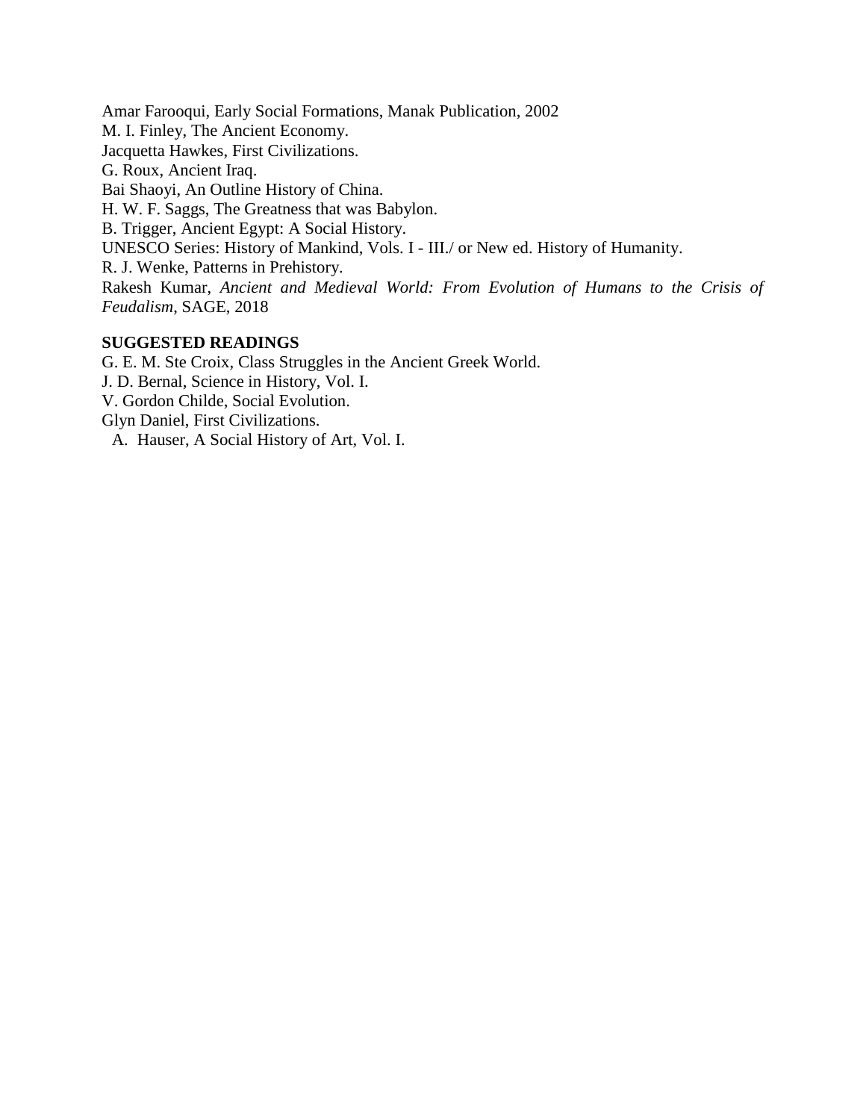Amar Farooqui, Early Social Formations, Manak Publication, 2002 M. I. Finley, The Ancient Economy. Jacquetta Hawkes, First Civilizations. G. Roux, Ancient Iraq. Bai Shaoyi, An Outline History of China. H. W. F. Saggs, The Greatness that was Babylon. B. Trigger, Ancient Egypt: A Social History. UNESCO Series: History of Mankind, Vols. I - III./ or New ed. History of Humanity. R. J. Wenke, Patterns in Prehistory. Rakesh Kumar, *Ancient and Medieval World: From Evolution of Humans to the Crisis of Feudalism*, SAGE, 2018

## **SUGGESTED READINGS**

G. E. M. Ste Croix, Class Struggles in the Ancient Greek World. J. D. Bernal, Science in History, Vol. I. V. Gordon Childe, Social Evolution. Glyn Daniel, First Civilizations. A. Hauser, A Social History of Art, Vol. I.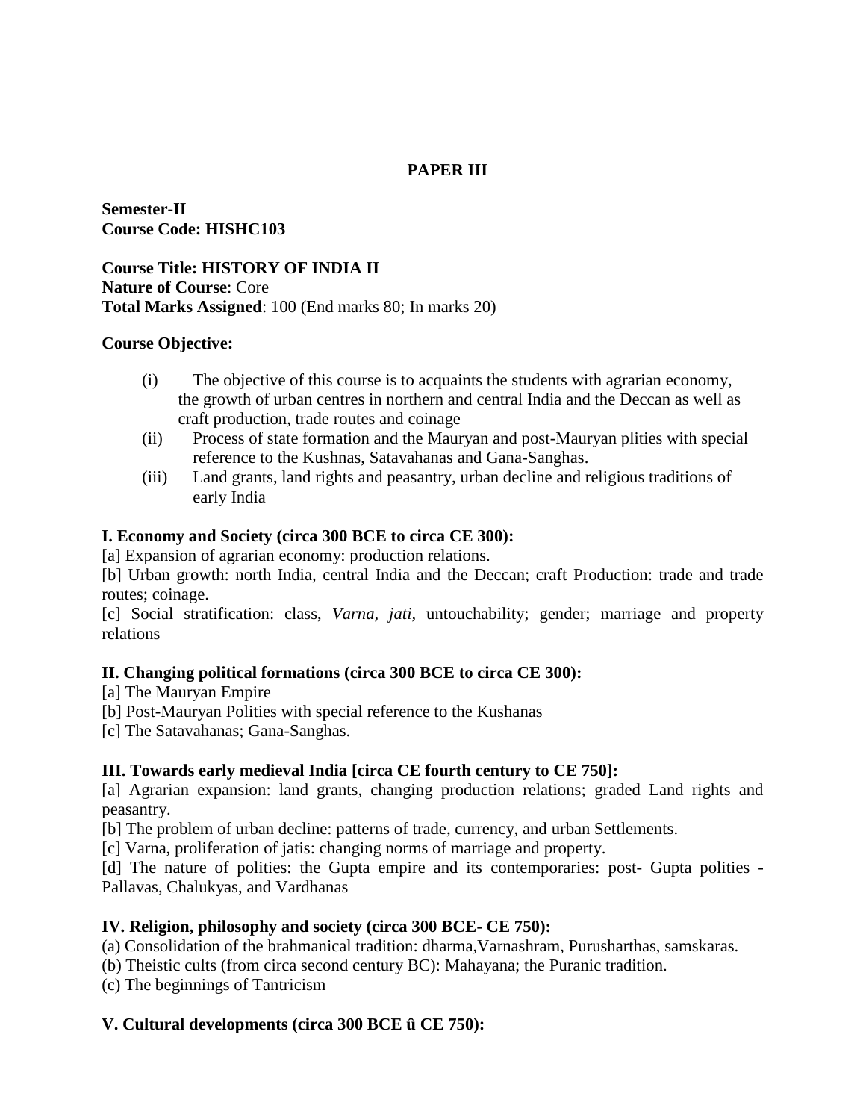# **PAPER III**

**Semester-II Course Code: HISHC103**

**Course Title: HISTORY OF INDIA II Nature of Course**: Core **Total Marks Assigned**: 100 (End marks 80; In marks 20)

## **Course Objective:**

- (i) The objective of this course is to acquaints the students with agrarian economy, the growth of urban centres in northern and central India and the Deccan as well as craft production, trade routes and coinage
- (ii) Process of state formation and the Mauryan and post-Mauryan plities with special reference to the Kushnas, Satavahanas and Gana-Sanghas.
- (iii) Land grants, land rights and peasantry, urban decline and religious traditions of early India

## **I. Economy and Society (circa 300 BCE to circa CE 300):**

[a] Expansion of agrarian economy: production relations.

[b] Urban growth: north India, central India and the Deccan; craft Production: trade and trade routes; coinage.

[c] Social stratification: class, *Varna, jati,* untouchability; gender; marriage and property relations

# **II. Changing political formations (circa 300 BCE to circa CE 300):**

[a] The Mauryan Empire

- [b] Post-Mauryan Polities with special reference to the Kushanas
- [c] The Satavahanas; Gana-Sanghas.

# **III. Towards early medieval India [circa CE fourth century to CE 750]:**

[a] Agrarian expansion: land grants, changing production relations; graded Land rights and peasantry.

[b] The problem of urban decline: patterns of trade, currency, and urban Settlements.

[c] Varna, proliferation of jatis: changing norms of marriage and property.

[d] The nature of polities: the Gupta empire and its contemporaries: post- Gupta polities - Pallavas, Chalukyas, and Vardhanas

# **IV. Religion, philosophy and society (circa 300 BCE- CE 750):**

(a) Consolidation of the brahmanical tradition: dharma,Varnashram, Purusharthas, samskaras.

(b) Theistic cults (from circa second century BC): Mahayana; the Puranic tradition.

(c) The beginnings of Tantricism

# **V. Cultural developments (circa 300 BCE û CE 750):**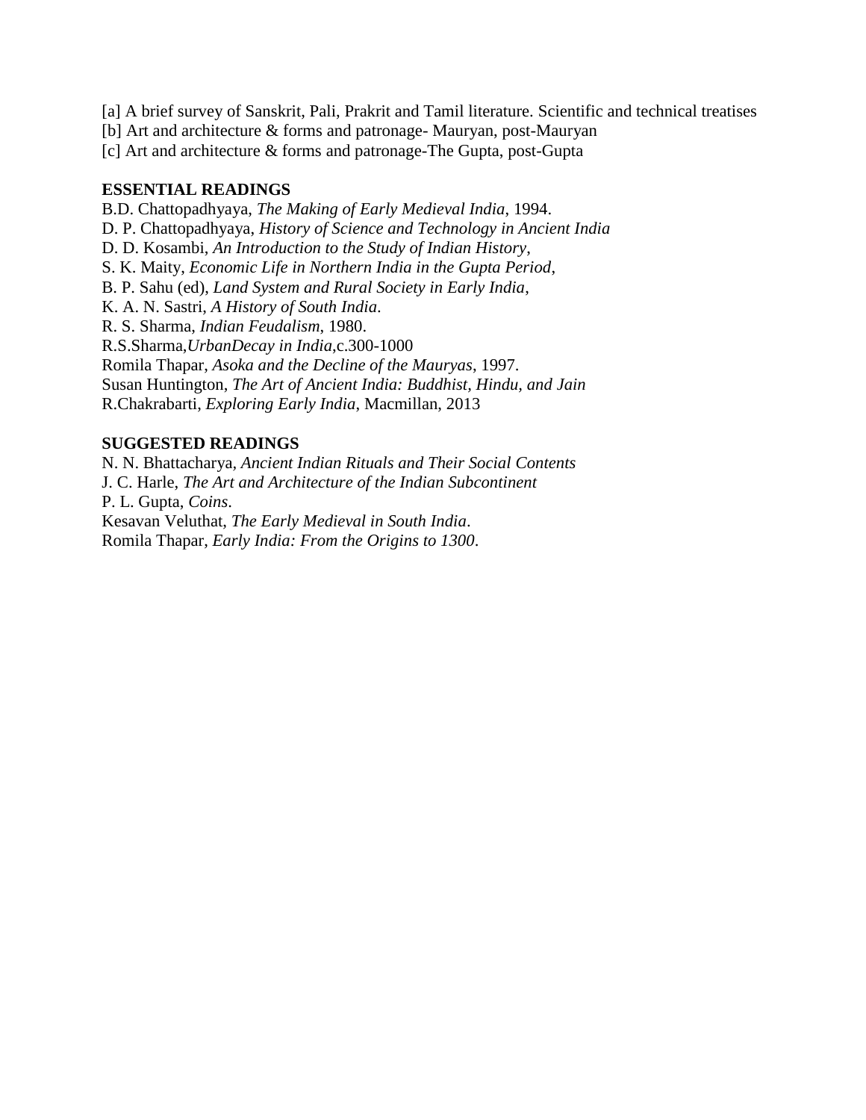[a] A brief survey of Sanskrit, Pali, Prakrit and Tamil literature. Scientific and technical treatises

[b] Art and architecture & forms and patronage- Mauryan, post-Mauryan

[c] Art and architecture & forms and patronage-The Gupta, post-Gupta

## **ESSENTIAL READINGS**

B.D. Chattopadhyaya, *The Making of Early Medieval India*, 1994.

D. P. Chattopadhyaya, *History of Science and Technology in Ancient India*

D. D. Kosambi, *An Introduction to the Study of Indian History*,

S. K. Maity, *Economic Life in Northern India in the Gupta Period*,

B. P. Sahu (ed), *Land System and Rural Society in Early India*,

K. A. N. Sastri, *A History of South India*.

R. S. Sharma, *Indian Feudalism*, 1980.

R.S.Sharma,*UrbanDecay in India*,c.300-1000

Romila Thapar, *Asoka and the Decline of the Mauryas*, 1997.

Susan Huntington, *The Art of Ancient India: Buddhist, Hindu, and Jain* 

R.Chakrabarti, *Exploring Early India*, Macmillan, 2013

## **SUGGESTED READINGS**

N. N. Bhattacharya*, Ancient Indian Rituals and Their Social Contents* J. C. Harle, *The Art and Architecture of the Indian Subcontinent* P. L. Gupta, *Coins*. Kesavan Veluthat, *The Early Medieval in South India*. Romila Thapar, *Early India: From the Origins to 1300*.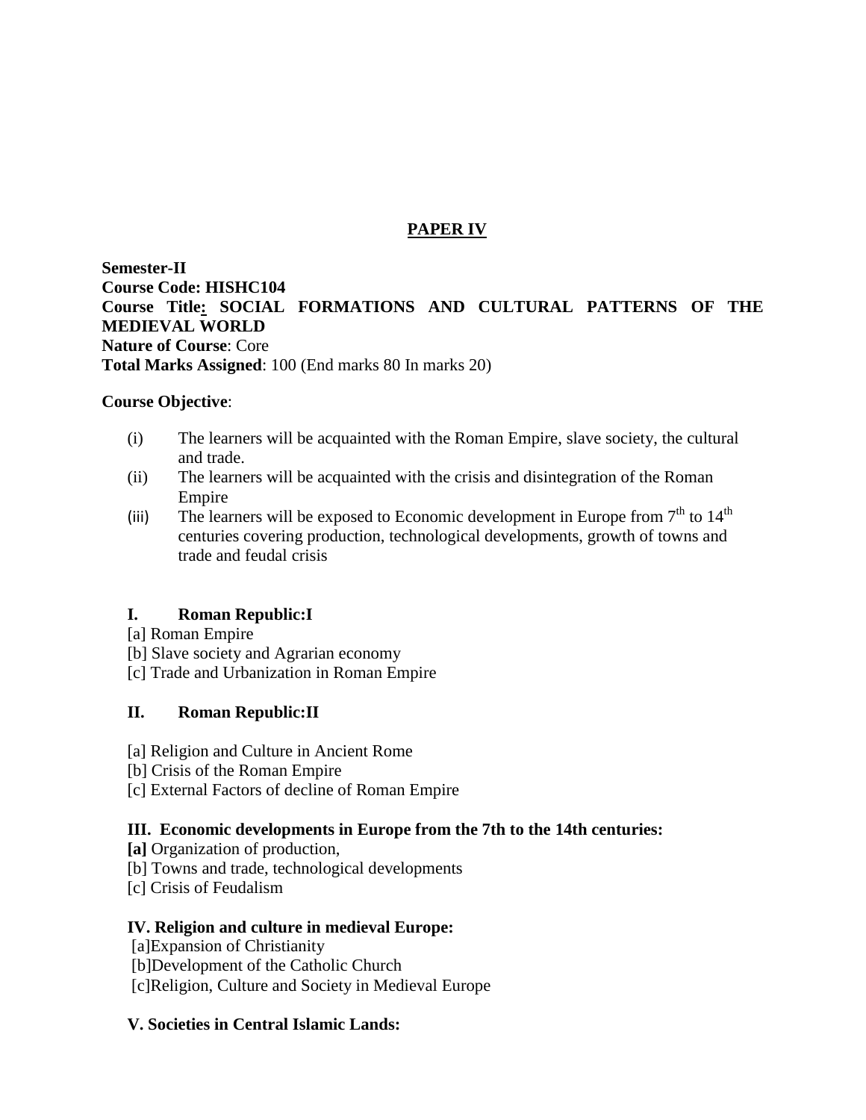# **PAPER IV**

**Semester-II Course Code: HISHC104 Course Title: SOCIAL FORMATIONS AND CULTURAL PATTERNS OF THE MEDIEVAL WORLD Nature of Course**: Core **Total Marks Assigned**: 100 (End marks 80 In marks 20)

## **Course Objective**:

- (i) The learners will be acquainted with the Roman Empire, slave society, the cultural and trade.
- (ii) The learners will be acquainted with the crisis and disintegration of the Roman Empire
- (iii) The learners will be exposed to Economic development in Europe from  $7<sup>th</sup>$  to  $14<sup>th</sup>$ centuries covering production, technological developments, growth of towns and trade and feudal crisis

# **I. Roman Republic:I**

- [a] Roman Empire
- [b] Slave society and Agrarian economy
- [c] Trade and Urbanization in Roman Empire

# **II. Roman Republic:II**

- [a] Religion and Culture in Ancient Rome
- [b] Crisis of the Roman Empire
- [c] External Factors of decline of Roman Empire

# **III. Economic developments in Europe from the 7th to the 14th centuries:**

- **[a]** Organization of production,
- [b] Towns and trade, technological developments
- [c] Crisis of Feudalism

## **IV. Religion and culture in medieval Europe:**

[a]Expansion of Christianity

[b]Development of the Catholic Church

[c]Religion, Culture and Society in Medieval Europe

## **V. Societies in Central Islamic Lands:**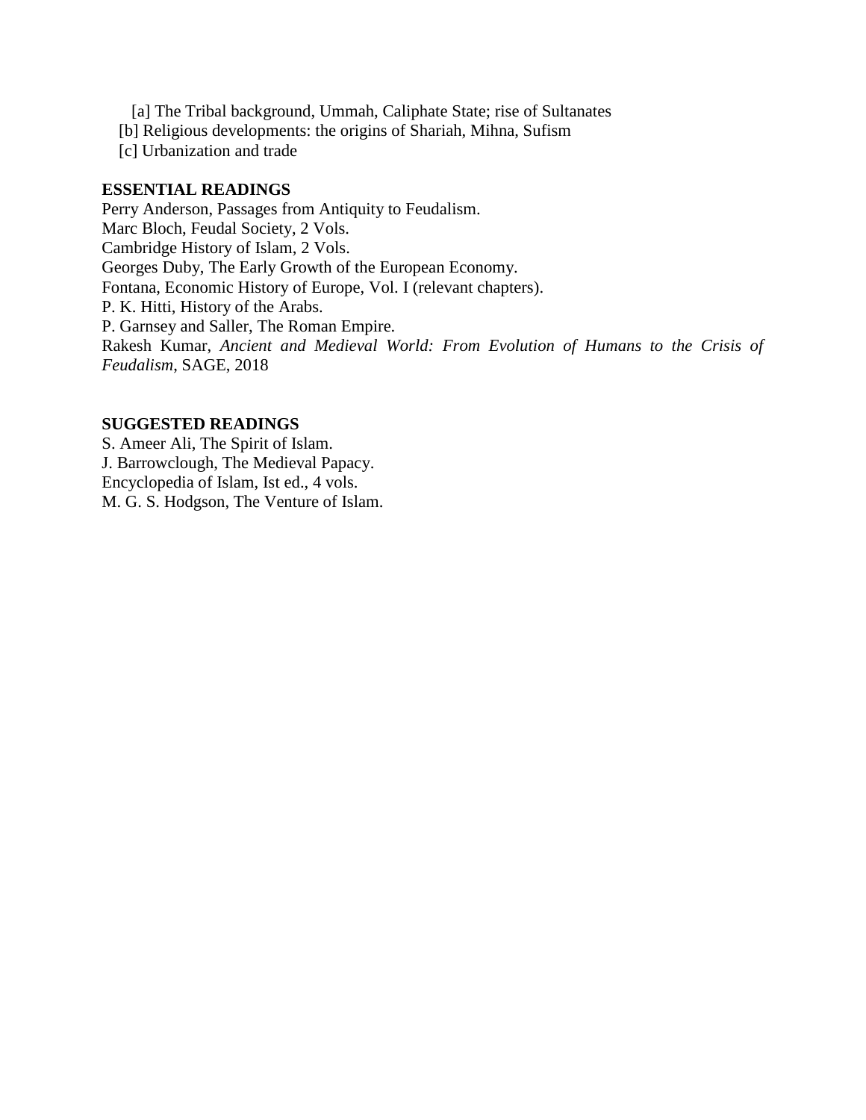- [a] The Tribal background, Ummah, Caliphate State; rise of Sultanates
- [b] Religious developments: the origins of Shariah, Mihna, Sufism
- [c] Urbanization and trade

## **ESSENTIAL READINGS**

Perry Anderson, Passages from Antiquity to Feudalism. Marc Bloch, Feudal Society, 2 Vols. Cambridge History of Islam, 2 Vols. Georges Duby, The Early Growth of the European Economy. Fontana, Economic History of Europe, Vol. I (relevant chapters). P. K. Hitti, History of the Arabs. P. Garnsey and Saller, The Roman Empire. Rakesh Kumar, *Ancient and Medieval World: From Evolution of Humans to the Crisis of Feudalism*, SAGE, 2018

## **SUGGESTED READINGS**

S. Ameer Ali, The Spirit of Islam. J. Barrowclough, The Medieval Papacy. Encyclopedia of Islam, Ist ed., 4 vols. M. G. S. Hodgson, The Venture of Islam.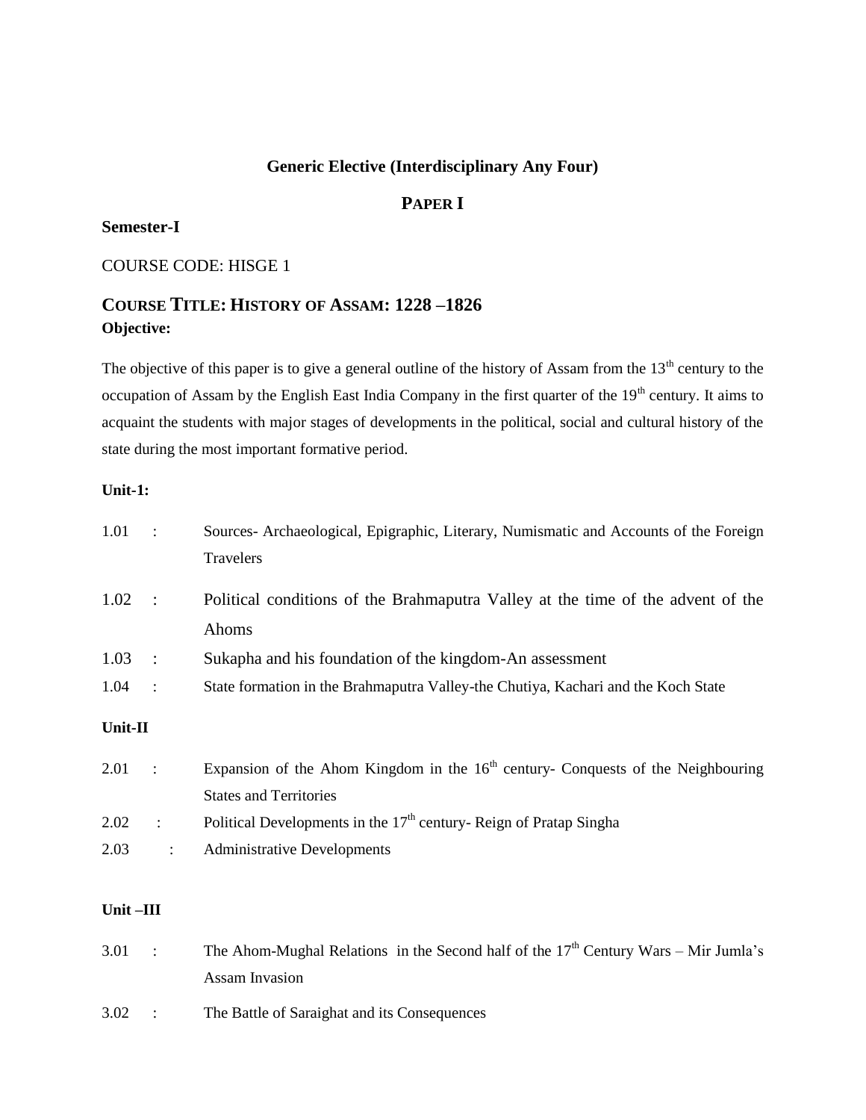# **Generic Elective (Interdisciplinary Any Four)**

# **PAPER I**

## **Semester-I**

### COURSE CODE: HISGE 1

# **COURSE TITLE: HISTORY OF ASSAM: 1228 –1826 Objective:**

The objective of this paper is to give a general outline of the history of Assam from the 13<sup>th</sup> century to the occupation of Assam by the English East India Company in the first quarter of the 19<sup>th</sup> century. It aims to acquaint the students with major stages of developments in the political, social and cultural history of the state during the most important formative period.

### **Unit-1:**

| 1.01     | $\sim$ 1       | Sources- Archaeological, Epigraphic, Literary, Numismatic and Accounts of the Foreign<br>Travelers |
|----------|----------------|----------------------------------------------------------------------------------------------------|
| 1.02     | $\sim$ :       | Political conditions of the Brahmaputra Valley at the time of the advent of the<br>Ahoms           |
|          |                |                                                                                                    |
| 1.03     | $\therefore$   | Sukapha and his foundation of the kingdom-An assessment                                            |
| 1.04     | $\sim$ :       | State formation in the Brahmaputra Valley-the Chutiya, Kachari and the Koch State                  |
| Unit-II  |                |                                                                                                    |
| 2.01     | $\sim$ 1       | Expansion of the Ahom Kingdom in the 16 <sup>th</sup> century- Conquests of the Neighbouring       |
|          |                | <b>States and Territories</b>                                                                      |
| 2.02     | $\ddot{\cdot}$ | Political Developments in the 17 <sup>th</sup> century-Reign of Pratap Singha                      |
| 2.03     | $\ddot{\cdot}$ | <b>Administrative Developments</b>                                                                 |
|          |                |                                                                                                    |
| Unit-III |                |                                                                                                    |
| 3.01     | $\ddot{\cdot}$ | The Ahom-Mughal Relations in the Second half of the $17th$ Century Wars – Mir Jumla's              |
|          |                | <b>Assam Invasion</b>                                                                              |

3.02 : The Battle of Saraighat and its Consequences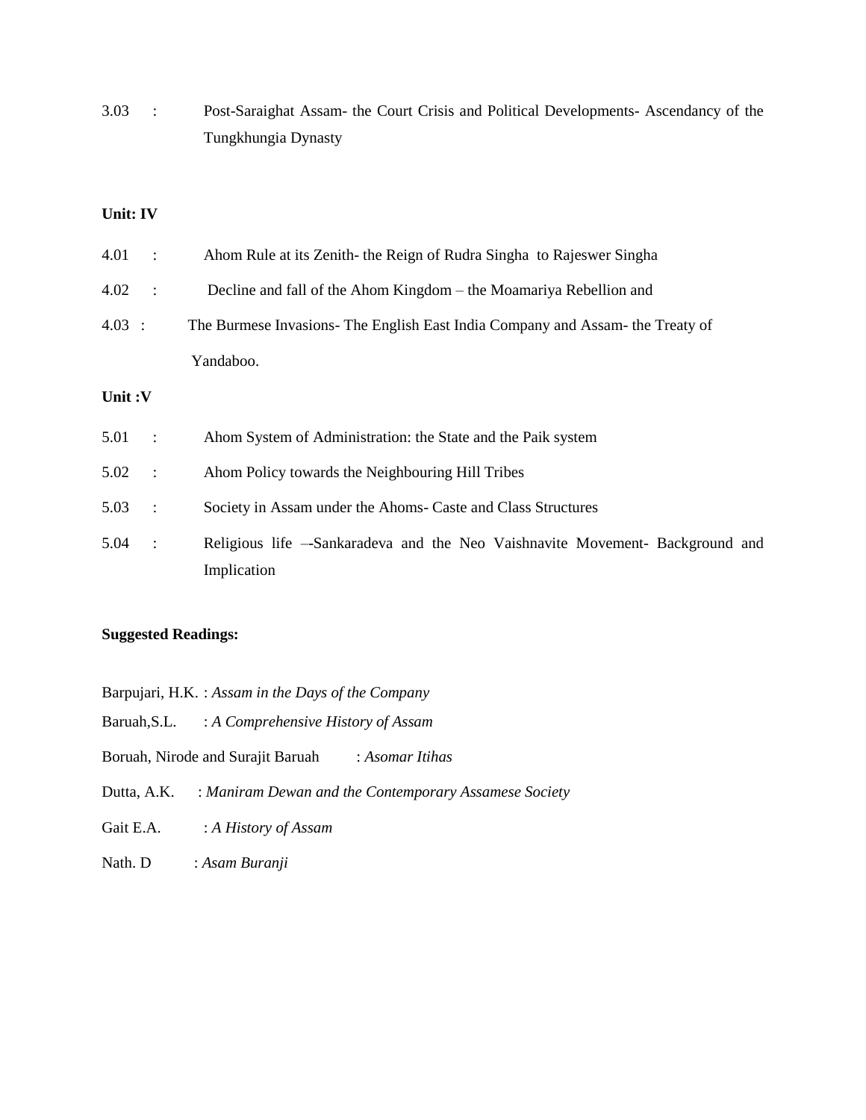3.03 : Post-Saraighat Assam- the Court Crisis and Political Developments- Ascendancy of the Tungkhungia Dynasty

### **Unit: IV**

| 4.01   | $\ddot{\cdot}$         | Ahom Rule at its Zenith- the Reign of Rudra Singha to Rajeswer Singha                        |
|--------|------------------------|----------------------------------------------------------------------------------------------|
| 4.02   | $\ddot{\cdot}$         | Decline and fall of the Ahom Kingdom – the Moamariya Rebellion and                           |
| 4.03 : |                        | The Burmese Invasions- The English East India Company and Assam- the Treaty of               |
|        |                        | Yandaboo.                                                                                    |
| Unit:V |                        |                                                                                              |
| 5.01   | $\sim$ :               | Ahom System of Administration: the State and the Paik system                                 |
| 5.02   | $\sim$ :               | Ahom Policy towards the Neighbouring Hill Tribes                                             |
| 5.03   | $\ddot{\phantom{1}}$ : | Society in Assam under the Ahoms- Caste and Class Structures                                 |
| 5.04   | $\ddot{\cdot}$         | Religious life – Sankaradeva and the Neo Vaishnavite Movement- Background and<br>Implication |

#### **Suggested Readings:**

| Barpujari, H.K. : Assam in the Days of the Company |  |  |  |  |  |
|----------------------------------------------------|--|--|--|--|--|
|----------------------------------------------------|--|--|--|--|--|

Baruah,S.L. : *A Comprehensive History of Assam*

- Boruah, Nirode and Surajit Baruah : *Asomar Itihas*
- Dutta, A.K. : *Maniram Dewan and the Contemporary Assamese Society*
- Gait E.A. : *A History of Assam*
- Nath. D : *Asam Buranji*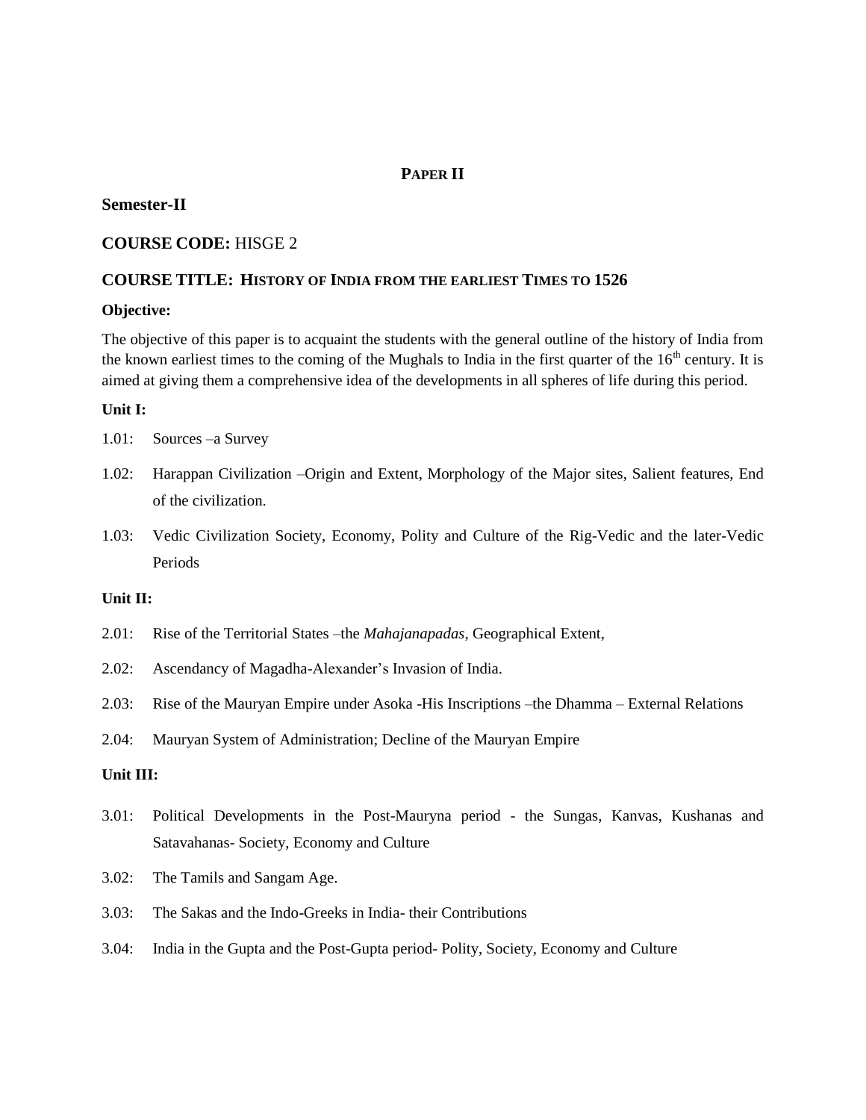## **PAPER II**

### **Semester-II**

### **COURSE CODE:** HISGE 2

### **COURSE TITLE: HISTORY OF INDIA FROM THE EARLIEST TIMES TO 1526**

#### **Objective:**

The objective of this paper is to acquaint the students with the general outline of the history of India from the known earliest times to the coming of the Mughals to India in the first quarter of the  $16<sup>th</sup>$  century. It is aimed at giving them a comprehensive idea of the developments in all spheres of life during this period.

#### **Unit I:**

- 1.01: Sources –a Survey
- 1.02: Harappan Civilization –Origin and Extent, Morphology of the Major sites, Salient features, End of the civilization.
- 1.03: Vedic Civilization Society, Economy, Polity and Culture of the Rig-Vedic and the later-Vedic Periods

#### **Unit II:**

- 2.01: Rise of the Territorial States –the *Mahajanapadas*, Geographical Extent,
- 2.02: Ascendancy of Magadha-Alexander's Invasion of India.
- 2.03: Rise of the Mauryan Empire under Asoka -His Inscriptions –the Dhamma External Relations
- 2.04: Mauryan System of Administration; Decline of the Mauryan Empire

#### **Unit III:**

- 3.01: Political Developments in the Post-Mauryna period the Sungas, Kanvas, Kushanas and Satavahanas- Society, Economy and Culture
- 3.02: The Tamils and Sangam Age.
- 3.03: The Sakas and the Indo-Greeks in India- their Contributions
- 3.04: India in the Gupta and the Post-Gupta period- Polity, Society, Economy and Culture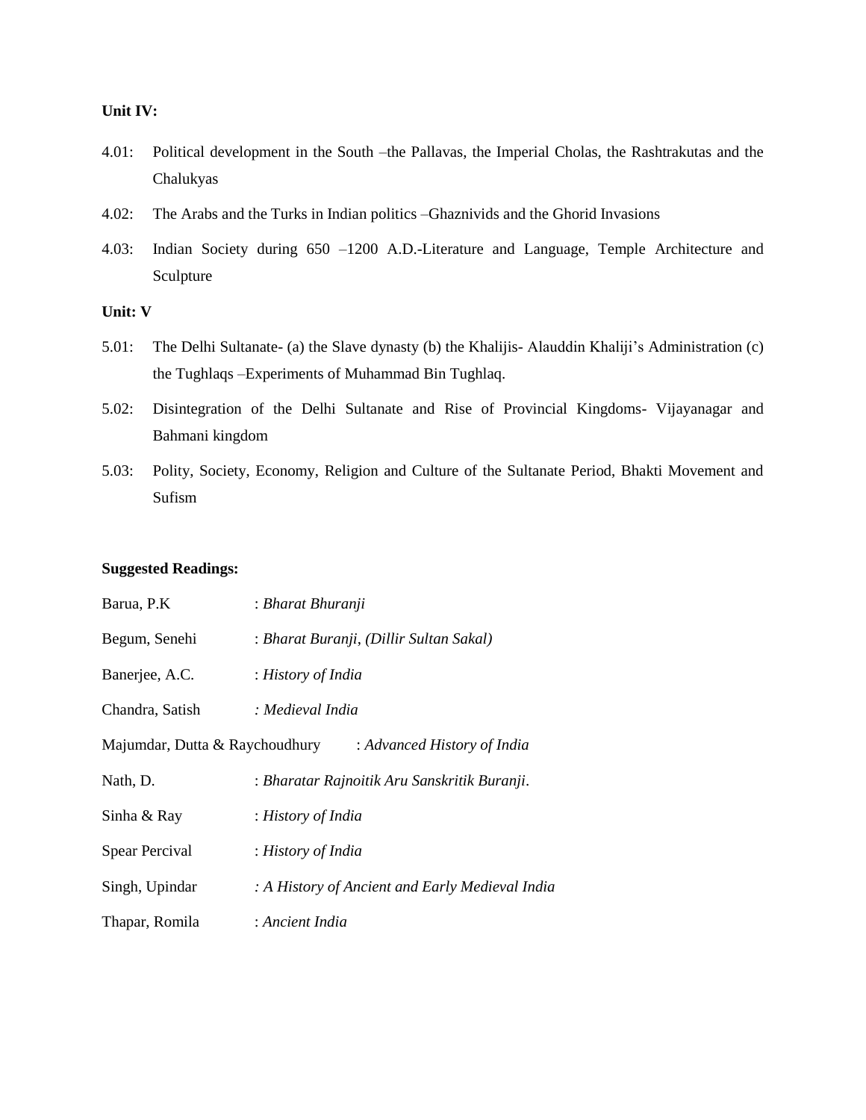#### **Unit IV:**

- 4.01: Political development in the South –the Pallavas, the Imperial Cholas, the Rashtrakutas and the Chalukyas
- 4.02: The Arabs and the Turks in Indian politics –Ghaznivids and the Ghorid Invasions
- 4.03: Indian Society during 650 –1200 A.D.-Literature and Language, Temple Architecture and Sculpture

### **Unit: V**

- 5.01: The Delhi Sultanate- (a) the Slave dynasty (b) the Khalijis- Alauddin Khaliji's Administration (c) the Tughlaqs –Experiments of Muhammad Bin Tughlaq.
- 5.02: Disintegration of the Delhi Sultanate and Rise of Provincial Kingdoms- Vijayanagar and Bahmani kingdom
- 5.03: Polity, Society, Economy, Religion and Culture of the Sultanate Period, Bhakti Movement and Sufism

#### **Suggested Readings:**

| Barua, P.K                     | : Bharat Bhuranji                               |  |  |
|--------------------------------|-------------------------------------------------|--|--|
| Begum, Senehi                  | : Bharat Buranji, (Dillir Sultan Sakal)         |  |  |
| Banerjee, A.C.                 | : History of India                              |  |  |
| Chandra, Satish                | : Medieval India                                |  |  |
| Majumdar, Dutta & Raychoudhury | : Advanced History of India                     |  |  |
| Nath, D.                       | : Bharatar Rajnoitik Aru Sanskritik Buranji.    |  |  |
| Sinha & Ray                    | : History of India                              |  |  |
| Spear Percival                 | : History of India                              |  |  |
| Singh, Upindar                 | : A History of Ancient and Early Medieval India |  |  |
| Thapar, Romila                 | : Ancient India                                 |  |  |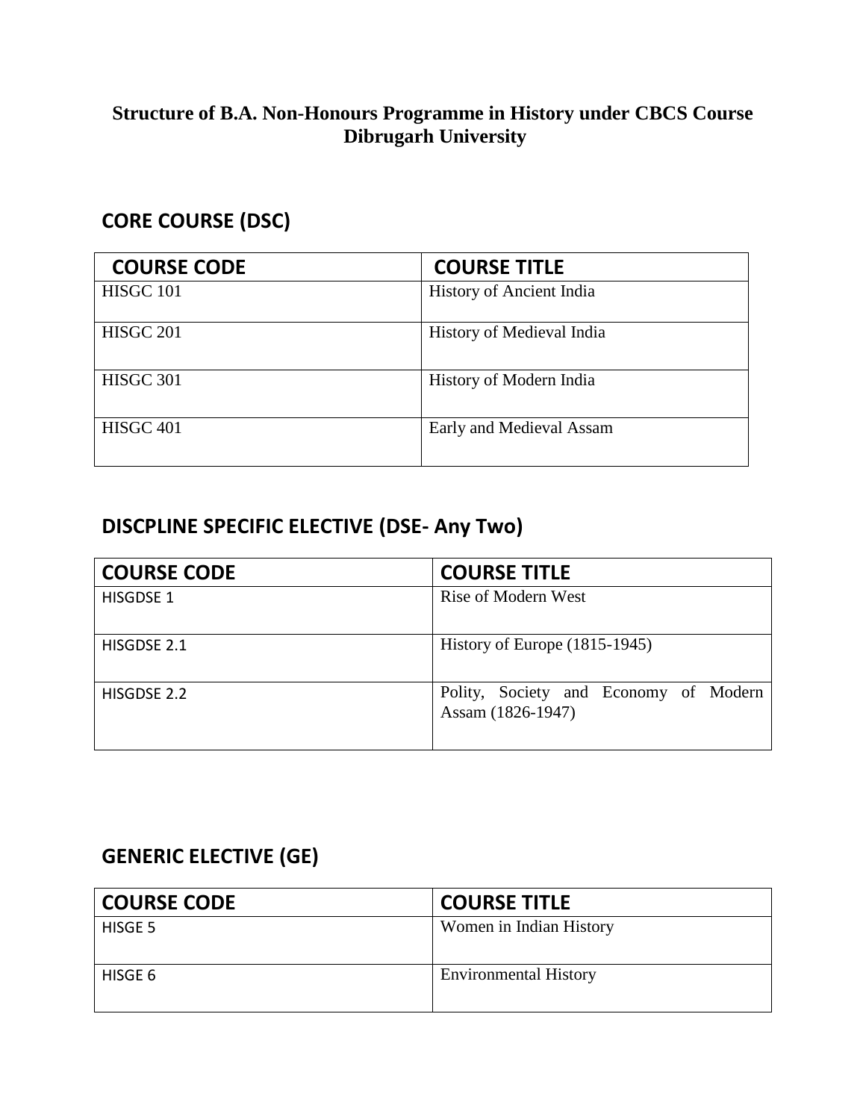# **Structure of B.A. Non-Honours Programme in History under CBCS Course Dibrugarh University**

# **CORE COURSE (DSC)**

| <b>COURSE CODE</b> | <b>COURSE TITLE</b>             |
|--------------------|---------------------------------|
| HISGC 101          | <b>History of Ancient India</b> |
| <b>HISGC 201</b>   | History of Medieval India       |
| HISGC 301          | History of Modern India         |
| HISGC 401          | Early and Medieval Assam        |

# **DISCPLINE SPECIFIC ELECTIVE (DSE- Any Two)**

| <b>COURSE CODE</b> | <b>COURSE TITLE</b>                                        |
|--------------------|------------------------------------------------------------|
| <b>HISGDSE 1</b>   | Rise of Modern West                                        |
| HISGDSE 2.1        | History of Europe $(1815-1945)$                            |
| HISGDSE 2.2        | Polity, Society and Economy of Modern<br>Assam (1826-1947) |

# **GENERIC ELECTIVE (GE)**

| <b>COURSE CODE</b> | <b>COURSE TITLE</b>          |
|--------------------|------------------------------|
| HISGE 5            | Women in Indian History      |
| HISGE 6            | <b>Environmental History</b> |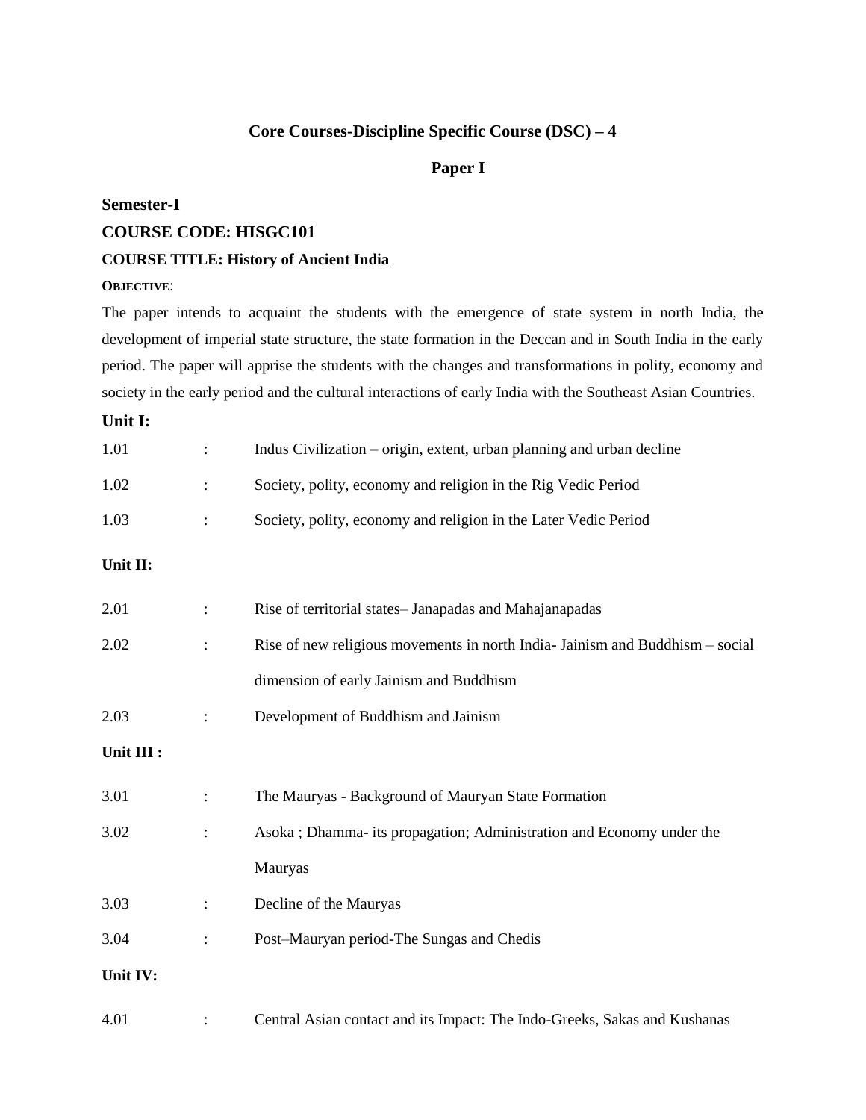# **Core Courses-Discipline Specific Course (DSC) – 4**

### **Paper I**

## **Semester-I**

#### **COURSE CODE: HISGC101**

#### **COURSE TITLE: History of Ancient India**

### **OBJECTIVE**:

The paper intends to acquaint the students with the emergence of state system in north India, the development of imperial state structure, the state formation in the Deccan and in South India in the early period. The paper will apprise the students with the changes and transformations in polity, economy and society in the early period and the cultural interactions of early India with the Southeast Asian Countries.

## **Unit I:**

| 1.01       |                | Indus Civilization – origin, extent, urban planning and urban decline        |  |
|------------|----------------|------------------------------------------------------------------------------|--|
| 1.02       |                | Society, polity, economy and religion in the Rig Vedic Period                |  |
| 1.03       |                | Society, polity, economy and religion in the Later Vedic Period              |  |
| Unit II:   |                |                                                                              |  |
| 2.01       |                | Rise of territorial states– Janapadas and Mahajanapadas                      |  |
| 2.02       |                | Rise of new religious movements in north India-Jainism and Buddhism – social |  |
|            |                | dimension of early Jainism and Buddhism                                      |  |
| 2.03       |                | Development of Buddhism and Jainism                                          |  |
| Unit III : |                |                                                                              |  |
| 3.01       |                | The Mauryas - Background of Mauryan State Formation                          |  |
| 3.02       |                | Asoka; Dhamma- its propagation; Administration and Economy under the         |  |
|            |                | Mauryas                                                                      |  |
| 3.03       |                | Decline of the Mauryas                                                       |  |
| 3.04       | $\ddot{\cdot}$ | Post-Mauryan period-The Sungas and Chedis                                    |  |
| Unit IV:   |                |                                                                              |  |
| 4.01       |                | Central Asian contact and its Impact: The Indo-Greeks, Sakas and Kushanas    |  |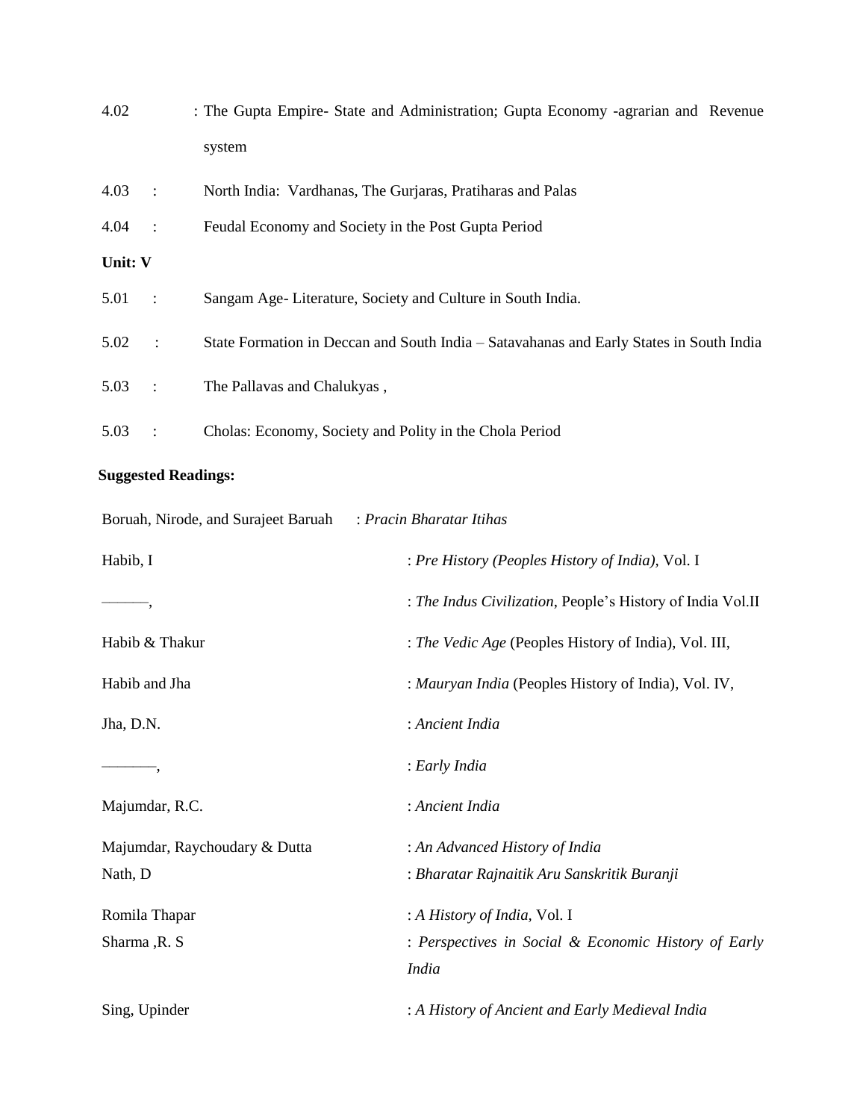| 4.02    |                | : The Gupta Empire- State and Administration; Gupta Economy -agrarian and Revenue       |  |
|---------|----------------|-----------------------------------------------------------------------------------------|--|
|         |                | system                                                                                  |  |
| 4.03    | $\mathbb{R}^2$ | North India: Vardhanas, The Gurjaras, Pratiharas and Palas                              |  |
| 4.04    | $\sim$ 1       | Feudal Economy and Society in the Post Gupta Period                                     |  |
| Unit: V |                |                                                                                         |  |
| 5.01    | $\sim 10$      | Sangam Age-Literature, Society and Culture in South India.                              |  |
| 5.02    | $\ddot{\cdot}$ | State Formation in Deccan and South India - Satavahanas and Early States in South India |  |
| 5.03    | $\cdot$ :      | The Pallavas and Chalukyas,                                                             |  |
| 5.03    |                | Cholas: Economy, Society and Polity in the Chola Period                                 |  |

# **Suggested Readings:**

| Boruah, Nirode, and Surajeet Baruah | : Pracin Bharatar Itihas                                   |
|-------------------------------------|------------------------------------------------------------|
| Habib, I                            | : Pre History (Peoples History of India), Vol. I           |
|                                     | : The Indus Civilization, People's History of India Vol.II |
| Habib & Thakur                      | : The Vedic Age (Peoples History of India), Vol. III,      |
| Habib and Jha                       | : Mauryan India (Peoples History of India), Vol. IV,       |
| Jha, D.N.                           | : Ancient India                                            |
| ٠,                                  | : Early India                                              |
| Majumdar, R.C.                      | : Ancient India                                            |
| Majumdar, Raychoudary & Dutta       | : An Advanced History of India                             |
| Nath, D                             | : Bharatar Rajnaitik Aru Sanskritik Buranji                |
| Romila Thapar                       | : A History of India, Vol. I                               |
| Sharma, R. S.                       | : Perspectives in Social & Economic History of Early       |
|                                     | <b>India</b>                                               |
| Sing, Upinder                       | : A History of Ancient and Early Medieval India            |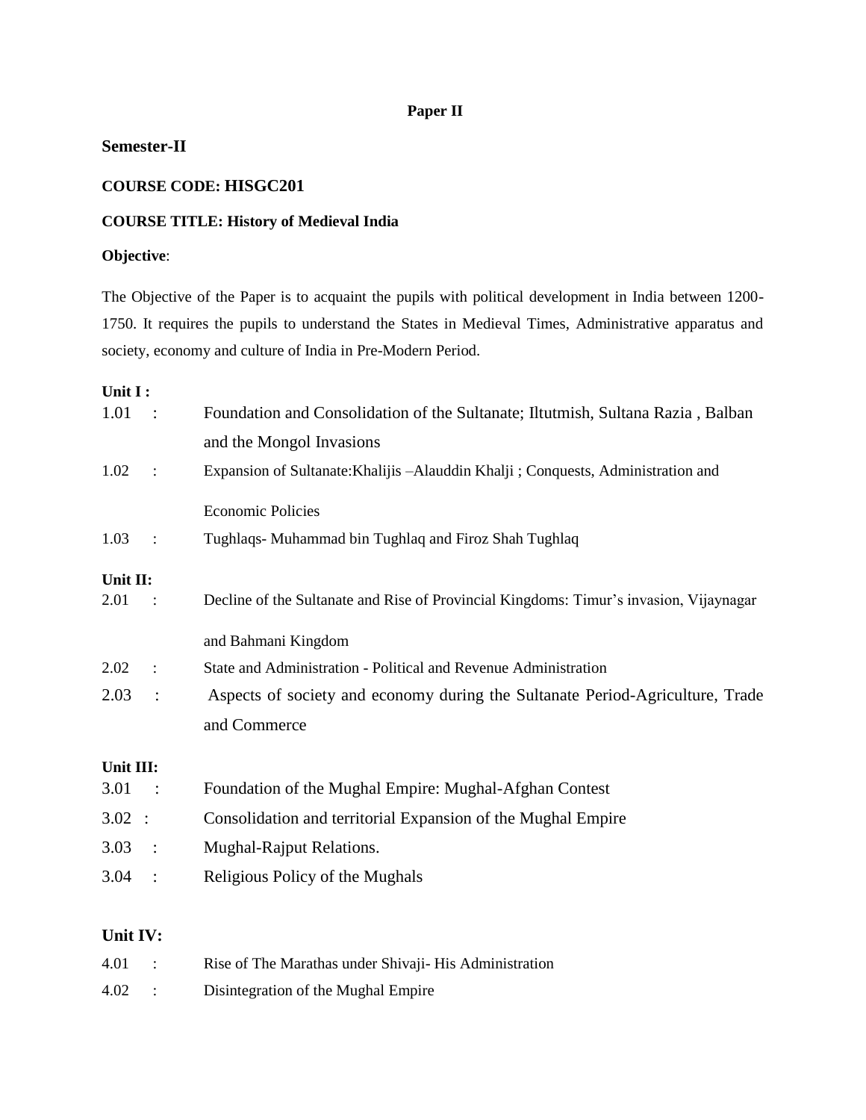## **Paper II**

### **Semester-II**

### **COURSE CODE: HISGC201**

## **COURSE TITLE: History of Medieval India**

# **Objective**:

The Objective of the Paper is to acquaint the pupils with political development in India between 1200- 1750. It requires the pupils to understand the States in Medieval Times, Administrative apparatus and society, economy and culture of India in Pre-Modern Period.

### **Unit I :**

| 1.01      | $\frac{1}{2}$          | Foundation and Consolidation of the Sultanate; Iltutmish, Sultana Razia, Balban        |  |
|-----------|------------------------|----------------------------------------------------------------------------------------|--|
|           |                        | and the Mongol Invasions                                                               |  |
| 1.02      | $\ddot{\cdot}$         | Expansion of Sultanate: Khalijis - Alauddin Khalji; Conquests, Administration and      |  |
|           |                        | <b>Economic Policies</b>                                                               |  |
| 1.03      | $\ddot{\cdot}$         | Tughlaqs- Muhammad bin Tughlaq and Firoz Shah Tughlaq                                  |  |
| Unit II:  |                        |                                                                                        |  |
| 2.01      |                        | Decline of the Sultanate and Rise of Provincial Kingdoms: Timur's invasion, Vijaynagar |  |
|           |                        | and Bahmani Kingdom                                                                    |  |
| 2.02      | $\ddot{\cdot}$         | State and Administration - Political and Revenue Administration                        |  |
| 2.03      | $\ddot{\cdot}$         | Aspects of society and economy during the Sultanate Period-Agriculture, Trade          |  |
|           |                        | and Commerce                                                                           |  |
| Unit III: |                        |                                                                                        |  |
| 3.01      | $\sim$ :               | Foundation of the Mughal Empire: Mughal-Afghan Contest                                 |  |
| 3.02 :    |                        | Consolidation and territorial Expansion of the Mughal Empire                           |  |
| 3.03      | $\ddot{\phantom{1}}$ : | Mughal-Rajput Relations.                                                               |  |
| 3.04      | $\ddot{\cdot}$         | Religious Policy of the Mughals                                                        |  |
|           |                        |                                                                                        |  |

# **Unit IV:**

| 4.01 | Rise of The Marathas under Shivaji-His Administration |
|------|-------------------------------------------------------|
| 4.02 | Disintegration of the Mughal Empire                   |